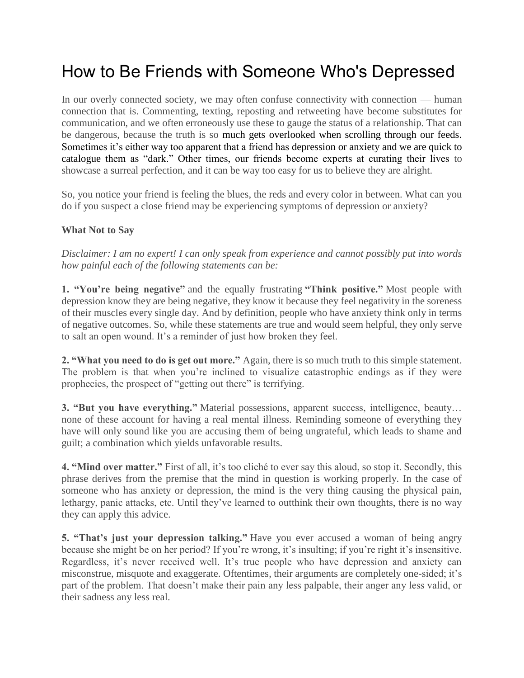## How to Be Friends with Someone Who's Depressed

In our overly connected society, we may often confuse connectivity with connection — human connection that is. Commenting, texting, reposting and retweeting have become substitutes for communication, and we often erroneously use these to gauge the status of a relationship. That can be dangerous, because the truth is so much gets overlooked when scrolling through our feeds. Sometimes it's either way too apparent that a friend has [depression](https://themighty.com/category/mental-illness/depression/) or [anxiety](https://themighty.com/category/mental-illness/anxiety/) and we are quick to catalogue them as "dark." Other times, our friends become experts at curating their lives to showcase a surreal perfection, and it can be way too easy for us to believe they are alright.

So, you notice your friend is feeling the blues, the reds and every color in between. What can you do if you suspect a close friend may be experiencing symptoms of depression or anxiety?

## **What Not to Say**

*Disclaimer: I am no expert! I can only speak from experience and cannot possibly put into words how painful each of the following statements can be:*

**1. "You're being negative"** and the equally frustrating **"Think positive."** Most people with depression know they are being negative, they know it because they feel negativity in the soreness of their muscles every single day. And by definition, people who have anxiety think only in terms of negative outcomes. So, while these statements are true and would seem helpful, they only serve to salt an open wound. It's a reminder of just how broken they feel.

**2. "What you need to do is get out more."** Again, there is so much truth to this simple statement. The problem is that when you're inclined to visualize catastrophic endings as if they were prophecies, the prospect of "getting out there" is terrifying.

**3. "But you have everything."** Material possessions, apparent success, intelligence, beauty… none of these account for having a real mental illness. Reminding someone of everything they have will only sound like you are accusing them of being ungrateful, which leads to shame and guilt; a combination which yields unfavorable results.

**4. "Mind over matter."** First of all, it's too cliché to ever say this aloud, so stop it. Secondly, this phrase derives from the premise that the mind in question is working properly. In the case of someone who has anxiety or depression, the mind is the very thing causing the physical pain, lethargy, panic attacks, etc. Until they've learned to outthink their own thoughts, there is no way they can apply this advice.

**5. "That's just your depression talking."** Have you ever accused a woman of being angry because she might be on her period? If you're wrong, it's insulting; if you're right it's insensitive. Regardless, it's never received well. It's true people who have depression and anxiety can misconstrue, misquote and exaggerate. Oftentimes, their arguments are completely one-sided; it's part of the problem. That doesn't make their pain any less palpable, their anger any less valid, or their sadness any less real.